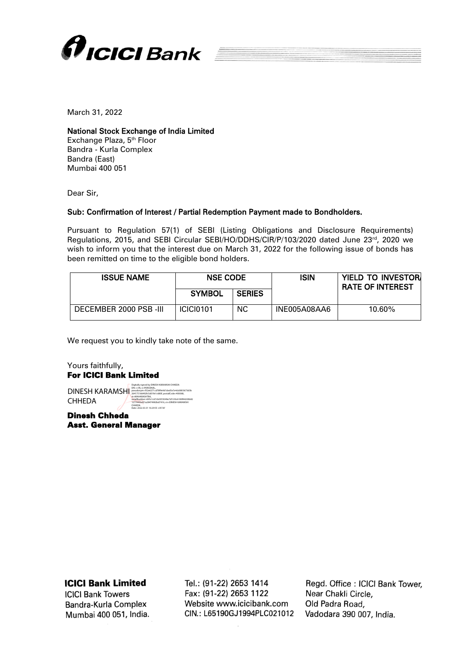

March 31, 2022

## National Stock Exchange of India Limited

Exchange Plaza, 5<sup>th</sup> Floor Bandra - Kurla Complex Bandra (East) Mumbai 400 051

Dear Sir,

## Sub: Confirmation of Interest / Partial Redemption Payment made to Bondholders.

Pursuant to Regulation 57(1) of SEBI (Listing Obligations and Disclosure Requirements) Regulations, 2015, and SEBI Circular SEBI/HO/DDHS/CIR/P/103/2020 dated June 23rd, 2020 we wish to inform you that the interest due on March 31, 2022 for the following issue of bonds has been remitted on time to the eligible bond holders.

| <b>ISSUE NAME</b>      | <b>NSE CODE</b>  |               | ISIN         | <b>YIELD TO INVESTORI</b><br><b>RATE OF INTEREST</b> |  |  |  |
|------------------------|------------------|---------------|--------------|------------------------------------------------------|--|--|--|
|                        | <b>SYMBOL</b>    | <b>SERIES</b> |              |                                                      |  |  |  |
| DECEMBER 2000 PSB -III | <b>ICICI0101</b> | <b>NC</b>     | INE005A08AA6 | 10.60%                                               |  |  |  |

We request you to kindly take note of the same.

Yours faithfully, For ICICI Bank Limited

DINESH KARAMSHI CHHEDA

Digitally signed by DINESH KARAMSHI CHHEDA DN: c=IN, o=PERSONAL, pseudonym=f32e6271cd78f9e9d1ded5e7e4cb0803673d3b 264175166492fc5d01fe1c680f, postalCode=400068, st=MAHARASHTRA, serialNumber=695c1c67cb0355049e7d7c50c6189f44200b82 1277445bd21a28474982bd7416, cn=DINESH KARAMSHI CHHEDA

Date: 2022.03.31 16:29:55 +05'30'

Dinesh Chheda Asst. General Manager

**ICICI Bank Limited** 

**ICICI Bank Towers** Bandra-Kurla Complex Mumbai 400 051, India. Tel.: (91-22) 2653 1414 Fax: (91-22) 2653 1122 Website www.icicibank.com CIN.: L65190GJ1994PLC021012

Regd. Office: ICICI Bank Tower. Near Chakli Circle. Old Padra Road, Vadodara 390 007, India.